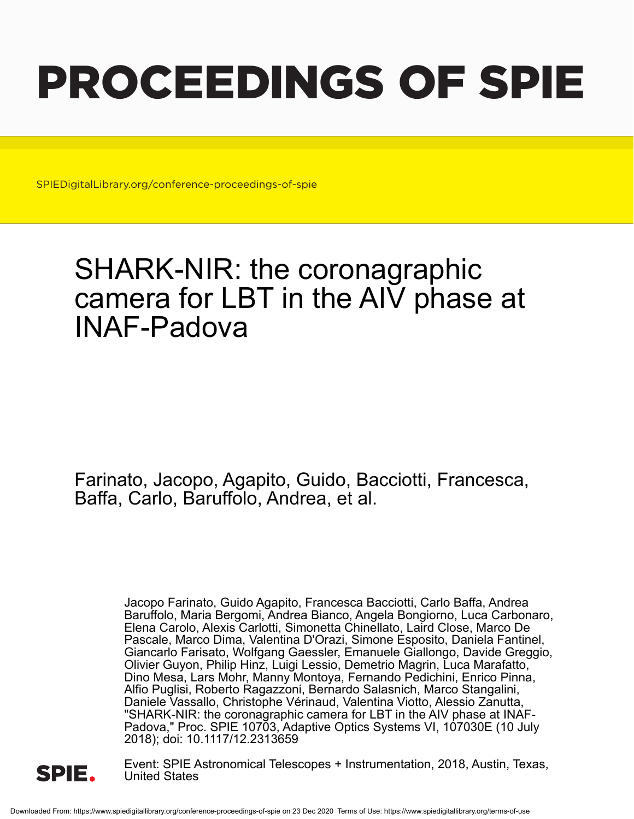# PROCEEDINGS OF SPIE

SPIEDigitalLibrary.org/conference-proceedings-of-spie

## SHARK-NIR: the coronagraphic camera for LBT in the AIV phase at INAF-Padova

Farinato, Jacopo, Agapito, Guido, Bacciotti, Francesca, Baffa, Carlo, Baruffolo, Andrea, et al.

> Jacopo Farinato, Guido Agapito, Francesca Bacciotti, Carlo Baffa, Andrea Baruffolo, Maria Bergomi, Andrea Bianco, Angela Bongiorno, Luca Carbonaro, Elena Carolo, Alexis Carlotti, Simonetta Chinellato, Laird Close, Marco De Pascale, Marco Dima, Valentina D'Orazi, Simone Esposito, Daniela Fantinel, Giancarlo Farisato, Wolfgang Gaessler, Emanuele Giallongo, Davide Greggio, Olivier Guyon, Philip Hinz, Luigi Lessio, Demetrio Magrin, Luca Marafatto, Dino Mesa, Lars Mohr, Manny Montoya, Fernando Pedichini, Enrico Pinna, Alfio Puglisi, Roberto Ragazzoni, Bernardo Salasnich, Marco Stangalini, Daniele Vassallo, Christophe Vérinaud, Valentina Viotto, Alessio Zanutta, "SHARK-NIR: the coronagraphic camera for LBT in the AIV phase at INAF-Padova," Proc. SPIE 10703, Adaptive Optics Systems VI, 107030E (10 July 2018); doi: 10.1117/12.2313659



Event: SPIE Astronomical Telescopes + Instrumentation, 2018, Austin, Texas, United States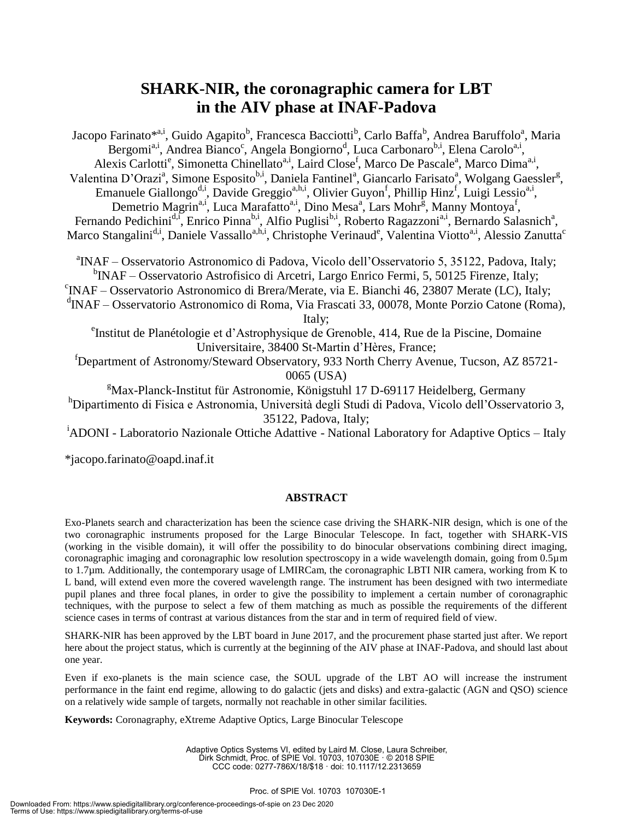### **SHARK-NIR, the coronagraphic camera for LBT in the AIV phase at INAF-Padova**

Jacopo Farinato\*<sup>a,i</sup>, Guido Agapito<sup>b</sup>, Francesca Bacciotti<sup>b</sup>, Carlo Baffa<sup>b</sup>, Andrea Baruffolo<sup>a</sup>, Maria Bergomi<sup>a,i</sup>, Andrea Bianco<sup>c</sup>, Angela Bongiorno<sup>d</sup>, Luca Carbonaro<sup>b,i</sup>, Elena Carolo<sup>a,i</sup>, Alexis Carlotti<sup>e</sup>, Simonetta Chinellato<sup>a,i</sup>, Laird Close<sup>f</sup>, Marco De Pascale<sup>a</sup>, Marco Dima<sup>a,i</sup>, Valentina D'Orazi<sup>a</sup>, Simone Esposito<sup>b,i</sup>, Daniela Fantinel<sup>a</sup>, Giancarlo Farisato<sup>a</sup>, Wolgang Gaessler<sup>g</sup>, Emanuele Giallongo<sup>d,i</sup>, Davide Greggio<sup>a,h,i</sup>, Olivier Guyon<sup>f</sup>, Phillip Hinz<sup>f</sup>, Luigi Lessio<sup>a,i</sup>, Demetrio Magrin<sup>a,i</sup>, Luca Marafatto<sup>a,i</sup>, Dino Mesa<sup>a</sup>, Lars Mohr<sup>g</sup>, Manny Montoya<sup>f</sup>, Fernando Pedichini<sup>d,i</sup>, Enrico Pinna<sup>b,i</sup>, Alfio Puglisi<sup>b,i</sup>, Roberto Ragazzoni<sup>a,i</sup>, Bernardo Salasnich<sup>a</sup>, Marco Stangalini<sup>d,i</sup>, Daniele Vassallo<sup>a,h,i</sup>, Christophe Verinaud<sup>e</sup>, Valentina Viotto<sup>a,i</sup>, Alessio Zanutta<sup>c</sup> a INAF – Osservatorio Astronomico di Padova, Vicolo dell'Osservatorio 5, 35122, Padova, Italy; <sup>b</sup>INAF – Osservatorio Astrofisico di Arcetri, Largo Enrico Fermi, 5, 50125 Firenze, Italy; c INAF – Osservatorio Astronomico di Brera/Merate, via E. Bianchi 46, 23807 Merate (LC), Italy; d INAF – Osservatorio Astronomico di Roma, Via Frascati 33, 00078, Monte Porzio Catone (Roma),

Italy;

e Institut de Planétologie et d'Astrophysique de Grenoble, 414, Rue de la Piscine, Domaine Universitaire, 38400 St-Martin d'Hères, France;

<sup>f</sup>Department of Astronomy/Steward Observatory, 933 North Cherry Avenue, Tucson, AZ 85721- 0065 (USA)

 $Max$ -Planck-Institut für Astronomie, Königstuhl 17 D-69117 Heidelberg, Germany <sup>h</sup>Dipartimento di Fisica e Astronomia, Università degli Studi di Padova, Vicolo dell'Osservatorio 3,

35122, Padova, Italy;

<sup>1</sup>ADONI - Laboratorio Nazionale Ottiche Adattive - National Laboratory for Adaptive Optics – Italy

\*jacopo.farinato@oapd.inaf.it

#### **ABSTRACT**

Exo-Planets search and characterization has been the science case driving the SHARK-NIR design, which is one of the two coronagraphic instruments proposed for the Large Binocular Telescope. In fact, together with SHARK-VIS (working in the visible domain), it will offer the possibility to do binocular observations combining direct imaging, coronagraphic imaging and coronagraphic low resolution spectroscopy in a wide wavelength domain, going from 0.5µm to 1.7µm. Additionally, the contemporary usage of LMIRCam, the coronagraphic LBTI NIR camera, working from K to L band, will extend even more the covered wavelength range. The instrument has been designed with two intermediate pupil planes and three focal planes, in order to give the possibility to implement a certain number of coronagraphic techniques, with the purpose to select a few of them matching as much as possible the requirements of the different science cases in terms of contrast at various distances from the star and in term of required field of view.

SHARK-NIR has been approved by the LBT board in June 2017, and the procurement phase started just after. We report here about the project status, which is currently at the beginning of the AIV phase at INAF-Padova, and should last about one year.

Even if exo-planets is the main science case, the SOUL upgrade of the LBT AO will increase the instrument performance in the faint end regime, allowing to do galactic (jets and disks) and extra-galactic (AGN and QSO) science on a relatively wide sample of targets, normally not reachable in other similar facilities.

**Keywords:** Coronagraphy, eXtreme Adaptive Optics, Large Binocular Telescope

Adaptive Optics Systems VI, edited by Laird M. Close, Laura Schreiber, Dirk Schmidt, Proc. of SPIE Vol. 10703, 107030E · © 2018 SPIE CCC code: 0277-786X/18/\$18 · doi: 10.1117/12.2313659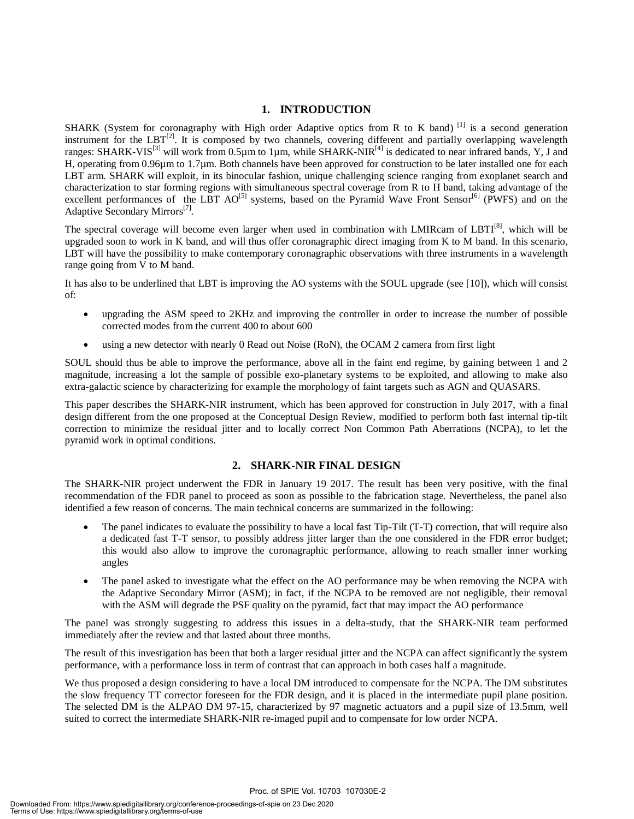#### **1. INTRODUCTION**

SHARK (System for coronagraphy with High order Adaptive optics from R to K band)  $^{[1]}$  is a second generation instrument for the  $LBT^{[2]}$ . It is composed by two channels, covering different and partially overlapping wavelength ranges: SHARK-VIS<sup>[3]</sup> will work from 0.5 $\mu$ m to 1 $\mu$ m, while SHARK-NIR<sup>[4]</sup> is dedicated to near infrared bands, Y, J and H, operating from 0.96µm to 1.7µm. Both channels have been approved for construction to be later installed one for each LBT arm. SHARK will exploit, in its binocular fashion, unique challenging science ranging from exoplanet search and characterization to star forming regions with simultaneous spectral coverage from R to H band, taking advantage of the excellent performances of the LBT AO<sup>[5]</sup> systems, based on the Pyramid Wave Front Sensor<sup>[6]</sup> (PWFS) and on the Adaptive Secondary Mirrors<sup>[7]</sup>.

The spectral coverage will become even larger when used in combination with LMIRcam of LBTI<sup>[8]</sup>, which will be upgraded soon to work in K band, and will thus offer coronagraphic direct imaging from K to M band. In this scenario, LBT will have the possibility to make contemporary coronagraphic observations with three instruments in a wavelength range going from V to M band.

It has also to be underlined that LBT is improving the AO systems with the SOUL upgrade (see [10]), which will consist of:

- upgrading the ASM speed to 2KHz and improving the controller in order to increase the number of possible corrected modes from the current 400 to about 600
- using a new detector with nearly 0 Read out Noise (RoN), the OCAM 2 camera from first light

SOUL should thus be able to improve the performance, above all in the faint end regime, by gaining between 1 and 2 magnitude, increasing a lot the sample of possible exo-planetary systems to be exploited, and allowing to make also extra-galactic science by characterizing for example the morphology of faint targets such as AGN and QUASARS.

This paper describes the SHARK-NIR instrument, which has been approved for construction in July 2017, with a final design different from the one proposed at the Conceptual Design Review, modified to perform both fast internal tip-tilt correction to minimize the residual jitter and to locally correct Non Common Path Aberrations (NCPA), to let the pyramid work in optimal conditions.

#### **2. SHARK-NIR FINAL DESIGN**

The SHARK-NIR project underwent the FDR in January 19 2017. The result has been very positive, with the final recommendation of the FDR panel to proceed as soon as possible to the fabrication stage. Nevertheless, the panel also identified a few reason of concerns. The main technical concerns are summarized in the following:

- The panel indicates to evaluate the possibility to have a local fast Tip-Tilt (T-T) correction, that will require also a dedicated fast T-T sensor, to possibly address jitter larger than the one considered in the FDR error budget; this would also allow to improve the coronagraphic performance, allowing to reach smaller inner working angles
- The panel asked to investigate what the effect on the AO performance may be when removing the NCPA with the Adaptive Secondary Mirror (ASM); in fact, if the NCPA to be removed are not negligible, their removal with the ASM will degrade the PSF quality on the pyramid, fact that may impact the AO performance

The panel was strongly suggesting to address this issues in a delta-study, that the SHARK-NIR team performed immediately after the review and that lasted about three months.

The result of this investigation has been that both a larger residual jitter and the NCPA can affect significantly the system performance, with a performance loss in term of contrast that can approach in both cases half a magnitude.

We thus proposed a design considering to have a local DM introduced to compensate for the NCPA. The DM substitutes the slow frequency TT corrector foreseen for the FDR design, and it is placed in the intermediate pupil plane position. The selected DM is the ALPAO DM 97-15, characterized by 97 magnetic actuators and a pupil size of 13.5mm, well suited to correct the intermediate SHARK-NIR re-imaged pupil and to compensate for low order NCPA.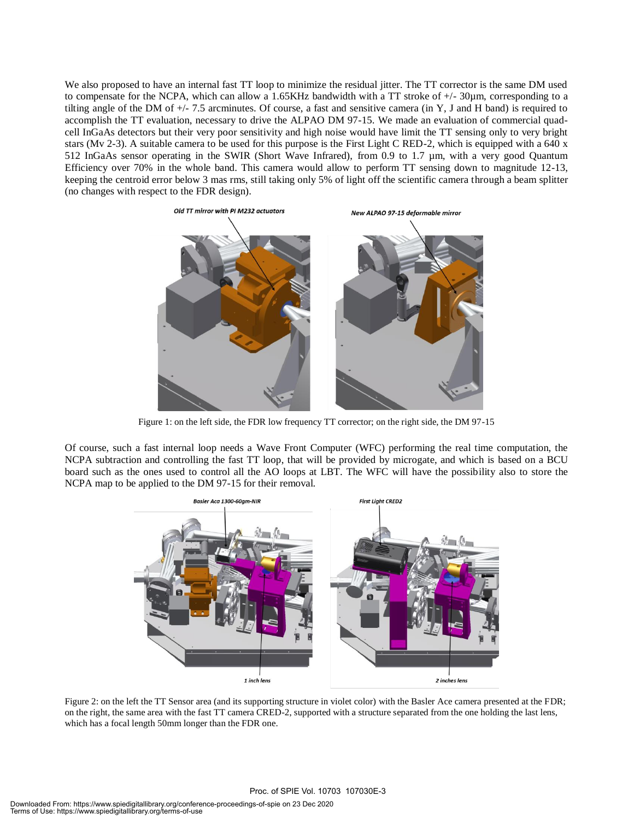We also proposed to have an internal fast TT loop to minimize the residual jitter. The TT corrector is the same DM used to compensate for the NCPA, which can allow a 1.65KHz bandwidth with a TT stroke of  $+/-30\mu$ m, corresponding to a tilting angle of the DM of +/- 7.5 arcminutes. Of course, a fast and sensitive camera (in Y, J and H band) is required to accomplish the TT evaluation, necessary to drive the ALPAO DM 97-15. We made an evaluation of commercial quadcell InGaAs detectors but their very poor sensitivity and high noise would have limit the TT sensing only to very bright stars (Mv 2-3). A suitable camera to be used for this purpose is the First Light C RED-2, which is equipped with a 640 x 512 InGaAs sensor operating in the SWIR (Short Wave Infrared), from 0.9 to 1.7 µm, with a very good Quantum Efficiency over 70% in the whole band. This camera would allow to perform TT sensing down to magnitude 12-13, keeping the centroid error below 3 mas rms, still taking only 5% of light off the scientific camera through a beam splitter (no changes with respect to the FDR design).



Figure 1: on the left side, the FDR low frequency TT corrector; on the right side, the DM 97-15

Of course, such a fast internal loop needs a Wave Front Computer (WFC) performing the real time computation, the NCPA subtraction and controlling the fast TT loop, that will be provided by microgate, and which is based on a BCU board such as the ones used to control all the AO loops at LBT. The WFC will have the possibility also to store the NCPA map to be applied to the DM 97-15 for their removal.



Figure 2: on the left the TT Sensor area (and its supporting structure in violet color) with the Basler Ace camera presented at the FDR; on the right, the same area with the fast TT camera CRED-2, supported with a structure separated from the one holding the last lens, which has a focal length 50mm longer than the FDR one.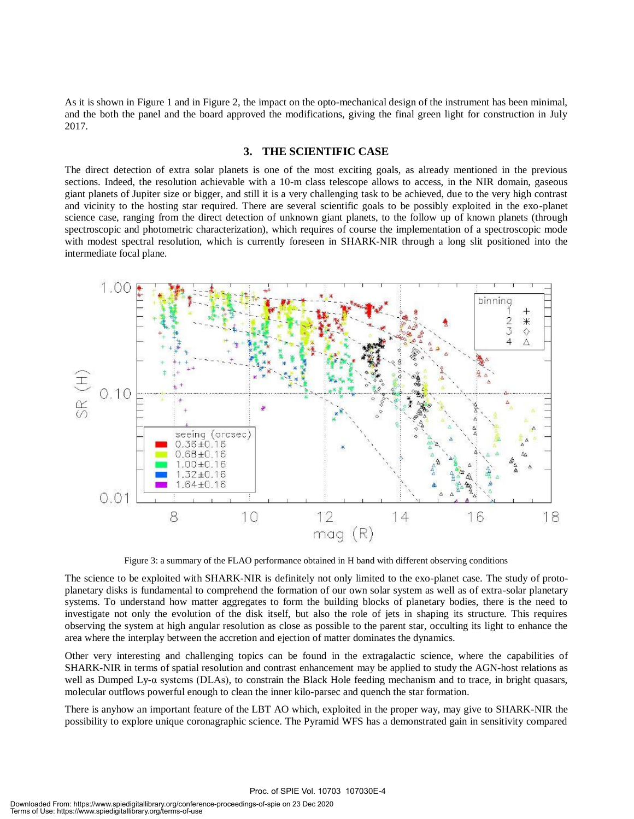As it is shown in Figure 1 and in Figure 2, the impact on the opto-mechanical design of the instrument has been minimal, and the both the panel and the board approved the modifications, giving the final green light for construction in July 2017.

#### **3. THE SCIENTIFIC CASE**

The direct detection of extra solar planets is one of the most exciting goals, as already mentioned in the previous sections. Indeed, the resolution achievable with a 10-m class telescope allows to access, in the NIR domain, gaseous giant planets of Jupiter size or bigger, and still it is a very challenging task to be achieved, due to the very high contrast and vicinity to the hosting star required. There are several scientific goals to be possibly exploited in the exo-planet science case, ranging from the direct detection of unknown giant planets, to the follow up of known planets (through spectroscopic and photometric characterization), which requires of course the implementation of a spectroscopic mode with modest spectral resolution, which is currently foreseen in SHARK-NIR through a long slit positioned into the intermediate focal plane.



Figure 3: a summary of the FLAO performance obtained in H band with different observing conditions

The science to be exploited with SHARK-NIR is definitely not only limited to the exo-planet case. The study of protoplanetary disks is fundamental to comprehend the formation of our own solar system as well as of extra-solar planetary systems. To understand how matter aggregates to form the building blocks of planetary bodies, there is the need to investigate not only the evolution of the disk itself, but also the role of jets in shaping its structure. This requires observing the system at high angular resolution as close as possible to the parent star, occulting its light to enhance the area where the interplay between the accretion and ejection of matter dominates the dynamics.

Other very interesting and challenging topics can be found in the extragalactic science, where the capabilities of SHARK-NIR in terms of spatial resolution and contrast enhancement may be applied to study the AGN-host relations as well as Dumped Ly- $\alpha$  systems (DLAs), to constrain the Black Hole feeding mechanism and to trace, in bright quasars, molecular outflows powerful enough to clean the inner kilo-parsec and quench the star formation.

There is anyhow an important feature of the LBT AO which, exploited in the proper way, may give to SHARK-NIR the possibility to explore unique coronagraphic science. The Pyramid WFS has a demonstrated gain in sensitivity compared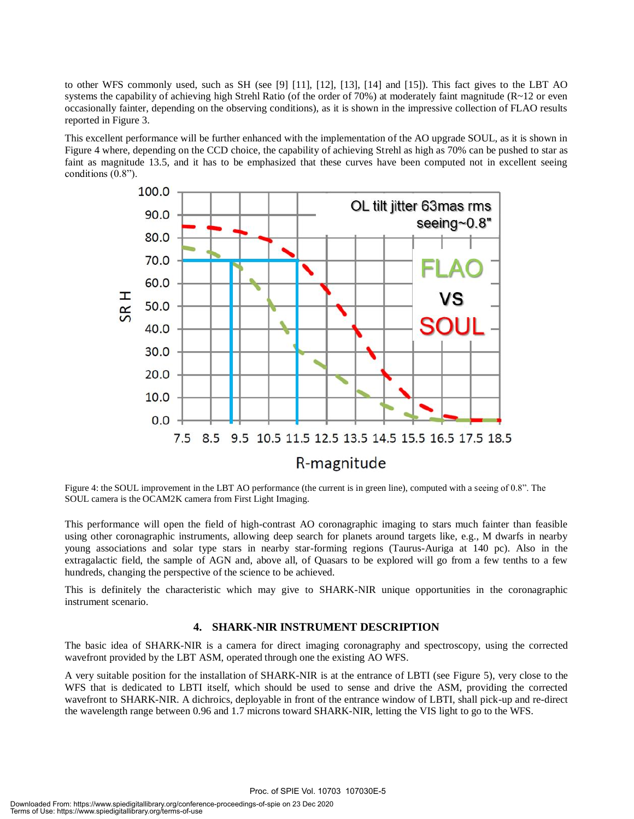to other WFS commonly used, such as SH (see [9] [11], [12], [13], [14] and [15]). This fact gives to the LBT AO systems the capability of achieving high Strehl Ratio (of the order of 70%) at moderately faint magnitude (R~12 or even occasionally fainter, depending on the observing conditions), as it is shown in the impressive collection of FLAO results reported in Figure 3.

This excellent performance will be further enhanced with the implementation of the AO upgrade SOUL, as it is shown in Figure 4 where, depending on the CCD choice, the capability of achieving Strehl as high as 70% can be pushed to star as faint as magnitude 13.5, and it has to be emphasized that these curves have been computed not in excellent seeing conditions (0.8").



Figure 4: the SOUL improvement in the LBT AO performance (the current is in green line), computed with a seeing of 0.8". The SOUL camera is the OCAM2K camera from First Light Imaging.

This performance will open the field of high-contrast AO coronagraphic imaging to stars much fainter than feasible using other coronagraphic instruments, allowing deep search for planets around targets like, e.g., M dwarfs in nearby young associations and solar type stars in nearby star-forming regions (Taurus-Auriga at 140 pc). Also in the extragalactic field, the sample of AGN and, above all, of Quasars to be explored will go from a few tenths to a few hundreds, changing the perspective of the science to be achieved.

This is definitely the characteristic which may give to SHARK-NIR unique opportunities in the coronagraphic instrument scenario.

#### **4. SHARK-NIR INSTRUMENT DESCRIPTION**

The basic idea of SHARK-NIR is a camera for direct imaging coronagraphy and spectroscopy, using the corrected wavefront provided by the LBT ASM, operated through one the existing AO WFS.

A very suitable position for the installation of SHARK-NIR is at the entrance of LBTI (see Figure 5), very close to the WFS that is dedicated to LBTI itself, which should be used to sense and drive the ASM, providing the corrected wavefront to SHARK-NIR. A dichroics, deployable in front of the entrance window of LBTI, shall pick-up and re-direct the wavelength range between 0.96 and 1.7 microns toward SHARK-NIR, letting the VIS light to go to the WFS.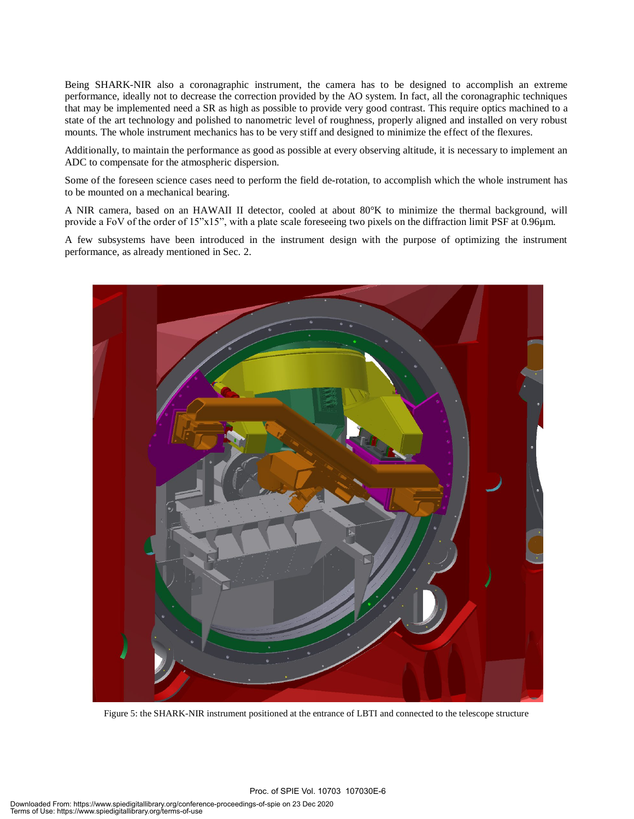Being SHARK-NIR also a coronagraphic instrument, the camera has to be designed to accomplish an extreme performance, ideally not to decrease the correction provided by the AO system. In fact, all the coronagraphic techniques that may be implemented need a SR as high as possible to provide very good contrast. This require optics machined to a state of the art technology and polished to nanometric level of roughness, properly aligned and installed on very robust mounts. The whole instrument mechanics has to be very stiff and designed to minimize the effect of the flexures.

Additionally, to maintain the performance as good as possible at every observing altitude, it is necessary to implement an ADC to compensate for the atmospheric dispersion.

Some of the foreseen science cases need to perform the field de-rotation, to accomplish which the whole instrument has to be mounted on a mechanical bearing.

A NIR camera, based on an HAWAII II detector, cooled at about 80°K to minimize the thermal background, will provide a FoV of the order of 15"x15", with a plate scale foreseeing two pixels on the diffraction limit PSF at 0.96µm.

A few subsystems have been introduced in the instrument design with the purpose of optimizing the instrument performance, as already mentioned in Sec. 2.



Figure 5: the SHARK-NIR instrument positioned at the entrance of LBTI and connected to the telescope structure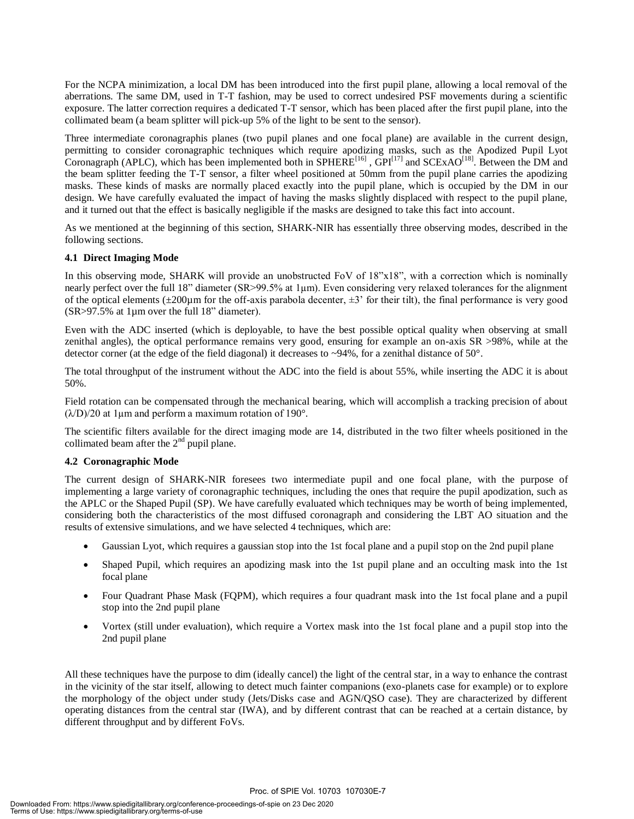For the NCPA minimization, a local DM has been introduced into the first pupil plane, allowing a local removal of the aberrations. The same DM, used in T-T fashion, may be used to correct undesired PSF movements during a scientific exposure. The latter correction requires a dedicated T-T sensor, which has been placed after the first pupil plane, into the collimated beam (a beam splitter will pick-up 5% of the light to be sent to the sensor).

Three intermediate coronagraphis planes (two pupil planes and one focal plane) are available in the current design, permitting to consider coronagraphic techniques which require apodizing masks, such as the Apodized Pupil Lyot Coronagraph (APLC), which has been implemented both in  $SPHERE^{[16]}$ ,  $GPI^{[17]}$  and  $SCExAO^{[18]}$ . Between the DM and the beam splitter feeding the T-T sensor, a filter wheel positioned at 50mm from the pupil plane carries the apodizing masks. These kinds of masks are normally placed exactly into the pupil plane, which is occupied by the DM in our design. We have carefully evaluated the impact of having the masks slightly displaced with respect to the pupil plane, and it turned out that the effect is basically negligible if the masks are designed to take this fact into account.

As we mentioned at the beginning of this section, SHARK-NIR has essentially three observing modes, described in the following sections.

#### **4.1 Direct Imaging Mode**

In this observing mode, SHARK will provide an unobstructed FoV of 18"x18", with a correction which is nominally nearly perfect over the full 18" diameter (SR>99.5% at 1µm). Even considering very relaxed tolerances for the alignment of the optical elements  $(\pm 200\mu m)$  for the off-axis parabola decenter,  $\pm 3$  for their tilt), the final performance is very good (SR>97.5% at 1µm over the full 18" diameter).

Even with the ADC inserted (which is deployable, to have the best possible optical quality when observing at small zenithal angles), the optical performance remains very good, ensuring for example an on-axis SR >98%, while at the detector corner (at the edge of the field diagonal) it decreases to ~94%, for a zenithal distance of 50°.

The total throughput of the instrument without the ADC into the field is about 55%, while inserting the ADC it is about 50%.

Field rotation can be compensated through the mechanical bearing, which will accomplish a tracking precision of about  $(\lambda/D)/20$  at 1µm and perform a maximum rotation of 190°.

The scientific filters available for the direct imaging mode are 14, distributed in the two filter wheels positioned in the collimated beam after the  $2<sup>nd</sup>$  pupil plane.

#### **4.2 Coronagraphic Mode**

The current design of SHARK-NIR foresees two intermediate pupil and one focal plane, with the purpose of implementing a large variety of coronagraphic techniques, including the ones that require the pupil apodization, such as the APLC or the Shaped Pupil (SP). We have carefully evaluated which techniques may be worth of being implemented, considering both the characteristics of the most diffused coronagraph and considering the LBT AO situation and the results of extensive simulations, and we have selected 4 techniques, which are:

- Gaussian Lyot, which requires a gaussian stop into the 1st focal plane and a pupil stop on the 2nd pupil plane
- Shaped Pupil, which requires an apodizing mask into the 1st pupil plane and an occulting mask into the 1st focal plane
- Four Quadrant Phase Mask (FQPM), which requires a four quadrant mask into the 1st focal plane and a pupil stop into the 2nd pupil plane
- Vortex (still under evaluation), which require a Vortex mask into the 1st focal plane and a pupil stop into the 2nd pupil plane

All these techniques have the purpose to dim (ideally cancel) the light of the central star, in a way to enhance the contrast in the vicinity of the star itself, allowing to detect much fainter companions (exo-planets case for example) or to explore the morphology of the object under study (Jets/Disks case and AGN/QSO case). They are characterized by different operating distances from the central star (IWA), and by different contrast that can be reached at a certain distance, by different throughput and by different FoVs.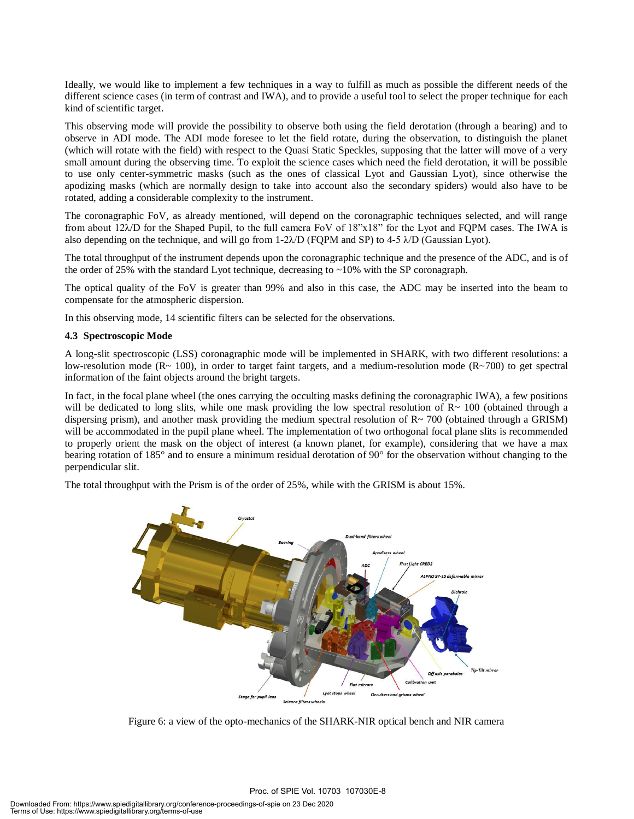Ideally, we would like to implement a few techniques in a way to fulfill as much as possible the different needs of the different science cases (in term of contrast and IWA), and to provide a useful tool to select the proper technique for each kind of scientific target.

This observing mode will provide the possibility to observe both using the field derotation (through a bearing) and to observe in ADI mode. The ADI mode foresee to let the field rotate, during the observation, to distinguish the planet (which will rotate with the field) with respect to the Quasi Static Speckles, supposing that the latter will move of a very small amount during the observing time. To exploit the science cases which need the field derotation, it will be possible to use only center-symmetric masks (such as the ones of classical Lyot and Gaussian Lyot), since otherwise the apodizing masks (which are normally design to take into account also the secondary spiders) would also have to be rotated, adding a considerable complexity to the instrument.

The coronagraphic FoV, as already mentioned, will depend on the coronagraphic techniques selected, and will range from about 12 $\lambda$ D for the Shaped Pupil, to the full camera FoV of 18"x18" for the Lyot and FQPM cases. The IWA is also depending on the technique, and will go from  $1-2\lambda/D$  (FQPM and SP) to  $4-5\lambda/D$  (Gaussian Lyot).

The total throughput of the instrument depends upon the coronagraphic technique and the presence of the ADC, and is of the order of 25% with the standard Lyot technique, decreasing to  $\sim$ 10% with the SP coronagraph.

The optical quality of the FoV is greater than 99% and also in this case, the ADC may be inserted into the beam to compensate for the atmospheric dispersion.

In this observing mode, 14 scientific filters can be selected for the observations.

#### **4.3 Spectroscopic Mode**

A long-slit spectroscopic (LSS) coronagraphic mode will be implemented in SHARK, with two different resolutions: a low-resolution mode  $(R \sim 100)$ , in order to target faint targets, and a medium-resolution mode  $(R \sim 700)$  to get spectral information of the faint objects around the bright targets.

In fact, in the focal plane wheel (the ones carrying the occulting masks defining the coronagraphic IWA), a few positions will be dedicated to long slits, while one mask providing the low spectral resolution of R~ 100 (obtained through a dispersing prism), and another mask providing the medium spectral resolution of R~ 700 (obtained through a GRISM) will be accommodated in the pupil plane wheel. The implementation of two orthogonal focal plane slits is recommended to properly orient the mask on the object of interest (a known planet, for example), considering that we have a max bearing rotation of 185° and to ensure a minimum residual derotation of 90° for the observation without changing to the perpendicular slit.

The total throughput with the Prism is of the order of 25%, while with the GRISM is about 15%.



Figure 6: a view of the opto-mechanics of the SHARK-NIR optical bench and NIR camera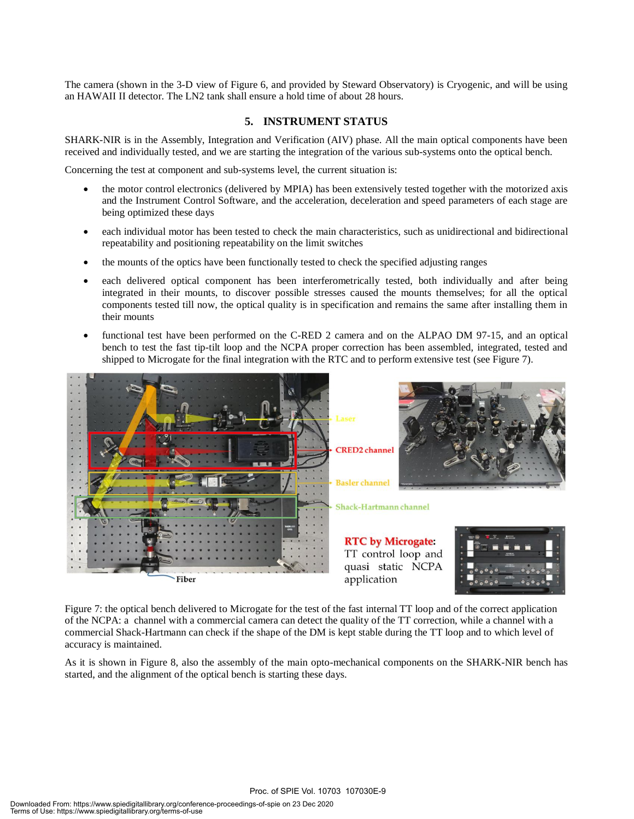The camera (shown in the 3-D view of Figure 6, and provided by Steward Observatory) is Cryogenic, and will be using an HAWAII II detector. The LN2 tank shall ensure a hold time of about 28 hours.

#### **5. INSTRUMENT STATUS**

SHARK-NIR is in the Assembly, Integration and Verification (AIV) phase. All the main optical components have been received and individually tested, and we are starting the integration of the various sub-systems onto the optical bench.

Concerning the test at component and sub-systems level, the current situation is:

- the motor control electronics (delivered by MPIA) has been extensively tested together with the motorized axis and the Instrument Control Software, and the acceleration, deceleration and speed parameters of each stage are being optimized these days
- each individual motor has been tested to check the main characteristics, such as unidirectional and bidirectional repeatability and positioning repeatability on the limit switches
- the mounts of the optics have been functionally tested to check the specified adjusting ranges
- each delivered optical component has been interferometrically tested, both individually and after being integrated in their mounts, to discover possible stresses caused the mounts themselves; for all the optical components tested till now, the optical quality is in specification and remains the same after installing them in their mounts
- functional test have been performed on the C-RED 2 camera and on the ALPAO DM 97-15, and an optical bench to test the fast tip-tilt loop and the NCPA proper correction has been assembled, integrated, tested and shipped to Microgate for the final integration with the RTC and to perform extensive test (see Figure 7).



Figure 7: the optical bench delivered to Microgate for the test of the fast internal TT loop and of the correct application of the NCPA: a channel with a commercial camera can detect the quality of the TT correction, while a channel with a commercial Shack-Hartmann can check if the shape of the DM is kept stable during the TT loop and to which level of accuracy is maintained.

As it is shown in Figure 8, also the assembly of the main opto-mechanical components on the SHARK-NIR bench has started, and the alignment of the optical bench is starting these days.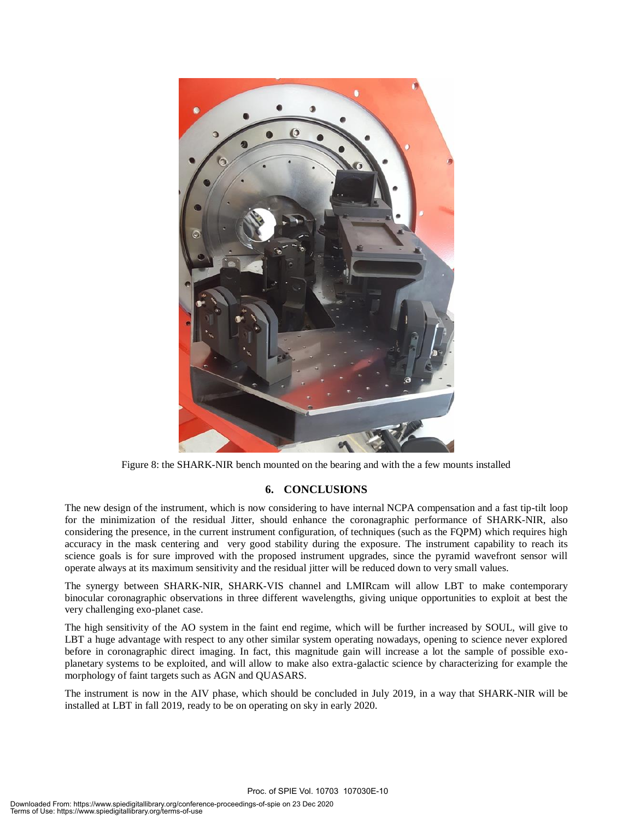

Figure 8: the SHARK-NIR bench mounted on the bearing and with the a few mounts installed

#### **6. CONCLUSIONS**

The new design of the instrument, which is now considering to have internal NCPA compensation and a fast tip-tilt loop for the minimization of the residual Jitter, should enhance the coronagraphic performance of SHARK-NIR, also considering the presence, in the current instrument configuration, of techniques (such as the FQPM) which requires high accuracy in the mask centering and very good stability during the exposure. The instrument capability to reach its science goals is for sure improved with the proposed instrument upgrades, since the pyramid wavefront sensor will operate always at its maximum sensitivity and the residual jitter will be reduced down to very small values.

The synergy between SHARK-NIR, SHARK-VIS channel and LMIRcam will allow LBT to make contemporary binocular coronagraphic observations in three different wavelengths, giving unique opportunities to exploit at best the very challenging exo-planet case.

The high sensitivity of the AO system in the faint end regime, which will be further increased by SOUL, will give to LBT a huge advantage with respect to any other similar system operating nowadays, opening to science never explored before in coronagraphic direct imaging. In fact, this magnitude gain will increase a lot the sample of possible exoplanetary systems to be exploited, and will allow to make also extra-galactic science by characterizing for example the morphology of faint targets such as AGN and QUASARS.

The instrument is now in the AIV phase, which should be concluded in July 2019, in a way that SHARK-NIR will be installed at LBT in fall 2019, ready to be on operating on sky in early 2020.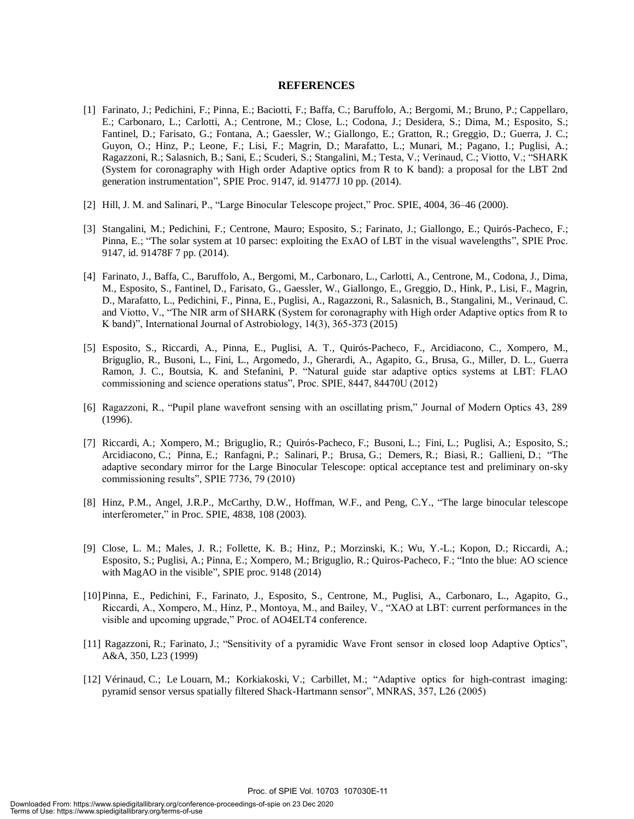#### **REFERENCES**

- [1] Farinato, J.; Pedichini, F.; Pinna, E.; Baciotti, F.; Baffa, C.; Baruffolo, A.; Bergomi, M.; Bruno, P.; Cappellaro, E.; Carbonaro, L.; Carlotti, A.; Centrone, M.; Close, L.; Codona, J.; Desidera, S.; Dima, M.; Esposito, S.; Fantinel, D.; Farisato, G.; Fontana, A.; Gaessler, W.; Giallongo, E.; Gratton, R.; Greggio, D.; Guerra, J. C.; Guyon, O.; Hinz, P.; Leone, F.; Lisi, F.; Magrin, D.; Marafatto, L.; Munari, M.; Pagano, I.; Puglisi, A.; Ragazzoni, R.; Salasnich, B.; Sani, E.; Scuderi, S.; Stangalini, M.; Testa, V.; Verinaud, C.; Viotto, V.; "SHARK (System for coronagraphy with High order Adaptive optics from R to K band): a proposal for the LBT 2nd generation instrumentation", SPIE Proc. 9147, id. 91477J 10 pp. (2014).
- [2] Hill, J. M. and Salinari, P., "Large Binocular Telescope project," Proc. SPIE, 4004, 36–46 (2000).
- [3] Stangalini, M.; Pedichini, F.; Centrone, Mauro; Esposito, S.; Farinato, J.; Giallongo, E.; Quirós-Pacheco, F.; Pinna, E.; "The solar system at 10 parsec: exploiting the ExAO of LBT in the visual wavelengths", SPIE Proc. 9147, id. 91478F 7 pp. (2014).
- [4] Farinato, J., Baffa, C., Baruffolo, A., Bergomi, M., Carbonaro, L., Carlotti, A., Centrone, M., Codona, J., Dima, M., Esposito, S., Fantinel, D., Farisato, G., Gaessler, W., Giallongo, E., Greggio, D., Hink, P., Lisi, F., Magrin, D., Marafatto, L., Pedichini, F., Pinna, E., Puglisi, A., Ragazzoni, R., Salasnich, B., Stangalini, M., Verinaud, C. and Viotto, V., "The NIR arm of SHARK (System for coronagraphy with High order Adaptive optics from R to K band)", International Journal of Astrobiology, 14(3), 365-373 (2015)
- [5] Esposito, S., Riccardi, A., Pinna, E., Puglisi, A. T., Quirós-Pacheco, F., Arcidiacono, C., Xompero, M., Briguglio, R., Busoni, L., Fini, L., Argomedo, J., Gherardi, A., Agapito, G., Brusa, G., Miller, D. L., Guerra Ramon, J. C., Boutsia, K. and Stefanini, P. "Natural guide star adaptive optics systems at LBT: FLAO commissioning and science operations status", Proc. SPIE, 8447, 84470U (2012)
- [6] Ragazzoni, R., "Pupil plane wavefront sensing with an oscillating prism," Journal of Modern Optics 43, 289 (1996).
- [7] Riccardi, A.; Xompero, M.; Briguglio, R.; Quirós-Pacheco, F.; Busoni, L.; Fini, L.; Puglisi, A.; Esposito, S.; Arcidiacono, C.; Pinna, E.; Ranfagni, P.; Salinari, P.; Brusa, G.; Demers, R.; Biasi, R.; Gallieni, D.; "The adaptive secondary mirror for the Large Binocular Telescope: optical acceptance test and preliminary on-sky commissioning results", SPIE 7736, 79 (2010)
- [8] Hinz, P.M., Angel, J.R.P., McCarthy, D.W., Hoffman, W.F., and Peng, C.Y., "The large binocular telescope interferometer," in Proc. SPIE, 4838, 108 (2003).
- [9] Close, L. M.; Males, J. R.; Follette, K. B.; Hinz, P.; Morzinski, K.; Wu, Y.-L.; Kopon, D.; Riccardi, A.; Esposito, S.; Puglisi, A.; Pinna, E.; Xompero, M.; Briguglio, R.; Quiros-Pacheco, F.; "Into the blue: AO science with MagAO in the visible", SPIE proc. 9148 (2014)
- [10]Pinna, E., Pedichini, F., Farinato, J., Esposito, S., Centrone, M., Puglisi, A., Carbonaro, L., Agapito, G., Riccardi, A., Xompero, M., Hinz, P., Montoya, M., and Bailey, V., "XAO at LBT: current performances in the visible and upcoming upgrade," Proc. of AO4ELT4 conference.
- [11] Ragazzoni, R.; Farinato, J.; "Sensitivity of a pyramidic Wave Front sensor in closed loop Adaptive Optics", A&A, 350, L23 (1999)
- [12] Vérinaud, C.; Le Louarn, M.; Korkiakoski, V.; Carbillet, M.; "Adaptive optics for high-contrast imaging: pyramid sensor versus spatially filtered Shack-Hartmann sensor", MNRAS, 357, L26 (2005)